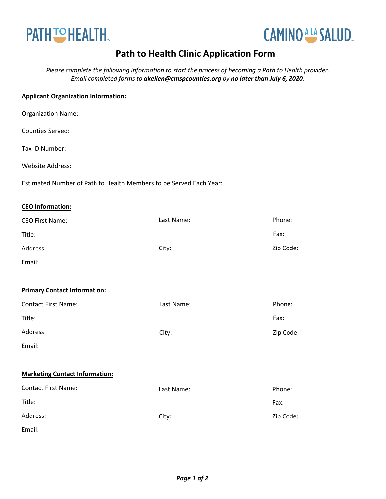



## **Path to Health Clinic Application Form**

*Please complete the following information to start the process of becoming a Path to Health provider. Email completed forms to akellen@cmspcounties.org by no later than July 6, 2020.* 

## **Applicant Organization Information:**

| <b>Organization Name:</b> |  |
|---------------------------|--|
|---------------------------|--|

Counties Served:

Tax ID Number:

Website Address:

Estimated Number of Path to Health Members to be Served Each Year:

## **CEO Information:**

| <b>CEO First Name:</b>                | Last Name: | Phone:    |
|---------------------------------------|------------|-----------|
| Title:                                |            | Fax:      |
| Address:                              | City:      | Zip Code: |
| Email:                                |            |           |
|                                       |            |           |
| <b>Primary Contact Information:</b>   |            |           |
| <b>Contact First Name:</b>            | Last Name: | Phone:    |
| Title:                                |            | Fax:      |
| Address:                              | City:      | Zip Code: |
| Email:                                |            |           |
|                                       |            |           |
| <b>Marketing Contact Information:</b> |            |           |
| <b>Contact First Name:</b>            | Last Name: | Phone:    |
| Title:                                |            | Fax:      |
| Address:                              | City:      | Zip Code: |
| Email:                                |            |           |